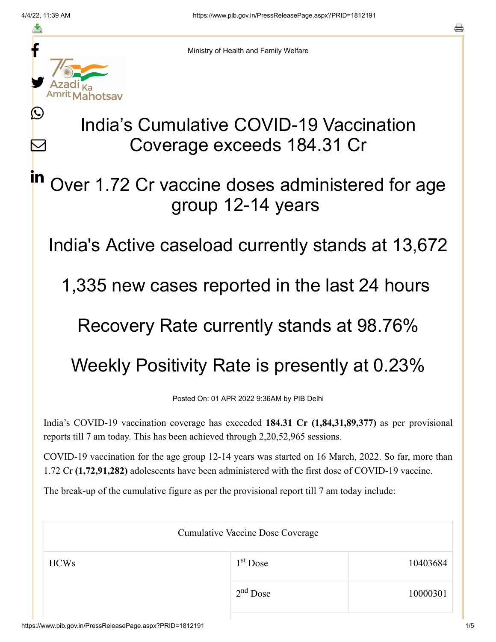≛

 $\mathbf{\Omega}$ 

 $\boldsymbol{\mathsf{M}}$ 

in



Ministry of Health and Family Welfare

## India's Cumulative COVID-19 Vaccination Coverage exceeds 184.31 Cr

## Over 1.72 Cr vaccine doses administered for age group 12-14 years

India's Active caseload currently stands at 13,672

1,335 new cases reported in the last 24 hours

## Recovery Rate currently stands at 98.76%

## Weekly Positivity Rate is presently at 0.23%

Posted On: 01 APR 2022 9:36AM by PIB Delhi

India's COVID-19 vaccination coverage has exceeded **184.31 Cr (1,84,31,89,377)** as per provisional reports till 7 am today. This has been achieved through 2,20,52,965 sessions.

COVID-19 vaccination for the age group 12-14 years was started on 16 March, 2022. So far, more than 1.72 Cr **(1,72,91,282)** adolescents have been administered with the first dose of COVID-19 vaccine.

The break-up of the cumulative figure as per the provisional report till 7 am today include:

| <b>Cumulative Vaccine Dose Coverage</b> |                      |          |  |
|-----------------------------------------|----------------------|----------|--|
| <b>HCWs</b>                             | 1 <sup>st</sup> Dose | 10403684 |  |
|                                         | $2nd$ Dose           | 10000301 |  |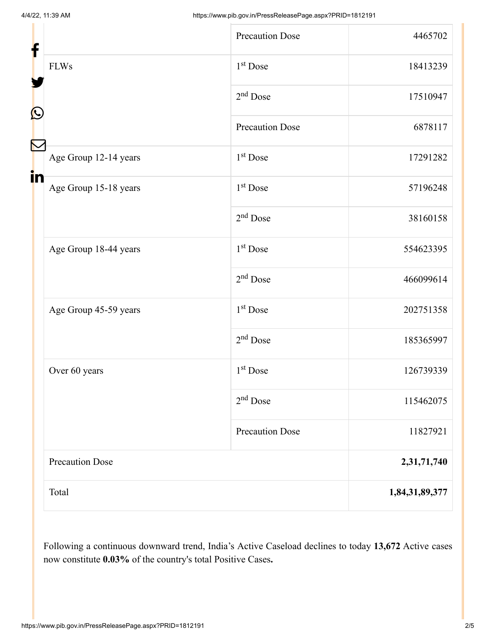| f  |                        | <b>Precaution Dose</b> | 4465702        |
|----|------------------------|------------------------|----------------|
|    | <b>FLWs</b>            | $1st$ Dose             | 18413239       |
|    |                        | $2nd$ Dose             | 17510947       |
| C  |                        | <b>Precaution Dose</b> | 6878117        |
|    | Age Group 12-14 years  | $1st$ Dose             | 17291282       |
| in | Age Group 15-18 years  | $1st$ Dose             | 57196248       |
|    |                        | $2nd$ Dose             | 38160158       |
|    | Age Group 18-44 years  | $1st$ Dose             | 554623395      |
|    |                        | $2nd$ Dose             | 466099614      |
|    | Age Group 45-59 years  | $1st$ Dose             | 202751358      |
|    |                        | $2nd$ Dose             | 185365997      |
|    | Over 60 years          | 1 <sup>st</sup> Dose   | 126739339      |
|    |                        | $2nd$ Dose             | 115462075      |
|    |                        | Precaution Dose        | 11827921       |
|    | <b>Precaution Dose</b> |                        | 2,31,71,740    |
|    | Total                  |                        | 1,84,31,89,377 |

Following a continuous downward trend, India's Active Caseload declines to today **13,672** Active cases now constitute **0.03%** of the country's total Positive Cases**.**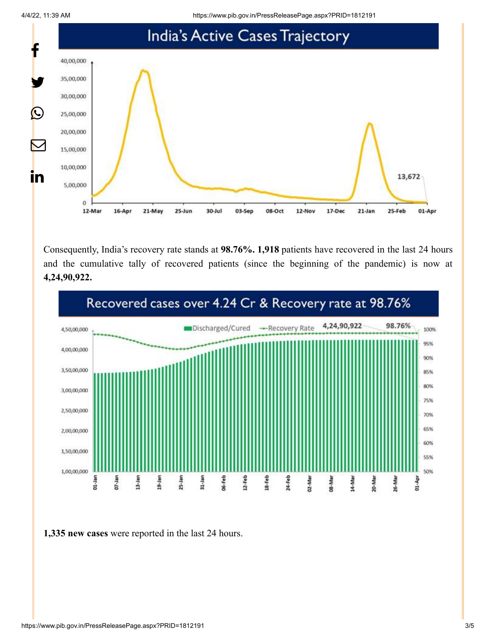4/4/22, 11:39 AM https://www.pib.gov.in/PressReleasePage.aspx?PRID=1812191



Consequently, India's recovery rate stands at **98.76%. 1,918** patients have recovered in the last 24 hours and the cumulative tally of recovered patients (since the beginning of the pandemic) is now at **4,24,90,922.**



**1,335 new cases** were reported in the last 24 hours.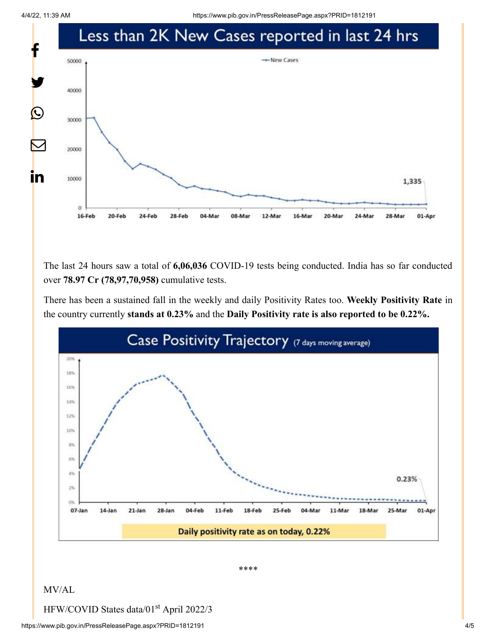

The last 24 hours saw a total of **6,06,036** COVID-19 tests being conducted. India has so far conducted over **78.97 Cr (78,97,70,958)** cumulative tests.

There has been a sustained fall in the weekly and daily Positivity Rates too. **Weekly Positivity Rate** in the country currently **stands at 0.23%** and the **Daily Positivity rate is also reported to be 0.22%.**



\*\*\*\*

MV/AL

HFW/COVID States data/01<sup>st</sup> April 2022/3